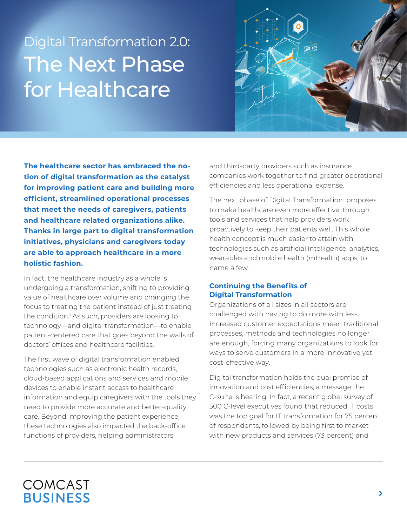# Digital Transformation 2.0: The Next Phase for Healthcare



**The healthcare sector has embraced the notion of digital transformation as the catalyst for improving patient care and building more efficient, streamlined operational processes that meet the needs of caregivers, patients and healthcare related organizations alike. Thanks in large part to digital transformation initiatives, physicians and caregivers today are able to approach healthcare in a more holistic fashion.**

In fact, the healthcare industry as a whole is undergoing a transformation, shifting to providing value of healthcare over volume and changing the focus to treating the patient instead of just treating the condition.1 As such, providers are looking to technology—and digital transformation—to enable patient-centered care that goes beyond the walls of doctors' offices and healthcare facilities.

The first wave of digital transformation enabled technologies such as electronic health records, cloud-based applications and services and mobile devices to enable instant access to healthcare information and equip caregivers with the tools they need to provide more accurate and better-quality care. Beyond improving the patient experience, these technologies also impacted the back-office functions of providers, helping administrators

and third-party providers such as insurance companies work together to find greater operational efficiencies and less operational expense.

The next phase of Digital Transformation proposes to make healthcare even more effective, through tools and services that help providers work proactively to keep their patients well. This whole health concept is much easier to attain with technologies such as artificial intelligence, analytics, wearables and mobile health (mHealth) apps, to name a few.

## **Continuing the Benefits of Digital Transformation**

Organizations of all sizes in all sectors are challenged with having to do more with less. Increased customer expectations mean traditional processes, methods and technologies no longer are enough, forcing many organizations to look for ways to serve customers in a more innovative yet cost-effective way.

Digital transformation holds the dual promise of innovation and cost efficiencies, a message the C-suite is hearing. In fact, a recent global survey of 500 C-level executives found that reduced IT costs was the top goal for IT transformation for 75 percent of respondents, followed by being first to market with new products and services (73 percent) and

# COMCAST **BUSINESS**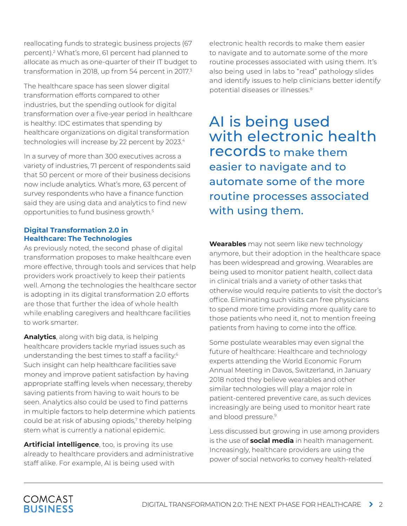reallocating funds to strategic business projects (67 percent).2 What's more, 61 percent had planned to allocate as much as one-quarter of their IT budget to transformation in 2018, up from 54 percent in 2017.<sup>3</sup>

The healthcare space has seen slower digital transformation efforts compared to other industries, but the spending outlook for digital transformation over a five-year period in healthcare is healthy: IDC estimates that spending by healthcare organizations on digital transformation technologies will increase by 22 percent by 2023.<sup>4</sup>

In a survey of more than 300 executives across a variety of industries, 71 percent of respondents said that 50 percent or more of their business decisions now include analytics. What's more, 63 percent of survey respondents who have a finance function said they are using data and analytics to find new opportunities to fund business growth.5

### **Digital Transformation 2.0 in Healthcare: The Technologies**

As previously noted, the second phase of digital transformation proposes to make healthcare even more effective, through tools and services that help providers work proactively to keep their patients well. Among the technologies the healthcare sector is adopting in its digital transformation 2.0 efforts are those that further the idea of whole health while enabling caregivers and healthcare facilities to work smarter.

**Analytics**, along with big data, is helping healthcare providers tackle myriad issues such as understanding the best times to staff a facility.<sup>6</sup> Such insight can help healthcare facilities save money and improve patient satisfaction by having appropriate staffing levels when necessary, thereby saving patients from having to wait hours to be seen. Analytics also could be used to find patterns in multiple factors to help determine which patients could be at risk of abusing opiods,<sup>7</sup> thereby helping stem what is currently a national epidemic.

**Artificial intelligence**, too, is proving its use already to healthcare providers and administrative staff alike. For example, AI is being used with

electronic health records to make them easier to navigate and to automate some of the more routine processes associated with using them. It's also being used in labs to "read" pathology slides and identify issues to help clinicians better identify potential diseases or illnesses.8

AI is being used with electronic health records to make them easier to navigate and to automate some of the more routine processes associated with using them.

**Wearables** may not seem like new technology anymore, but their adoption in the healthcare space has been widespread and growing. Wearables are being used to monitor patient health, collect data in clinical trials and a variety of other tasks that otherwise would require patients to visit the doctor's office. Eliminating such visits can free physicians to spend more time providing more quality care to those patients who need it, not to mention freeing patients from having to come into the office.

Some postulate wearables may even signal the future of healthcare: Healthcare and technology experts attending the World Economic Forum Annual Meeting in Davos, Switzerland, in January 2018 noted they believe wearables and other similar technologies will play a major role in patient-centered preventive care, as such devices increasingly are being used to monitor heart rate and blood pressure.<sup>9</sup>

Less discussed but growing in use among providers is the use of **social media** in health management. Increasingly, healthcare providers are using the power of social networks to convey health-related

# COMCAST **BUSINESS**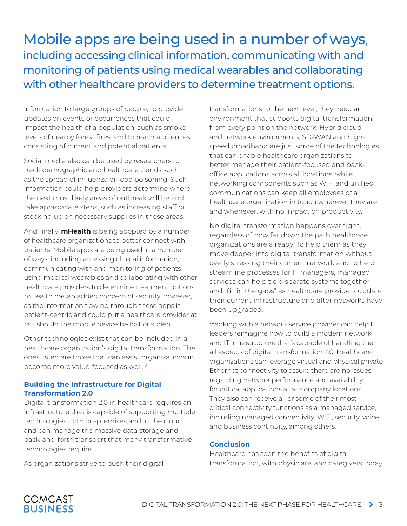# Mobile apps are being used in a number of ways, including accessing clinical information, communicating with and monitoring of patients using medical wearables and collaborating with other healthcare providers to determine treatment options.

information to large groups of people; to provide updates on events or occurrences that could impact the health of a population, such as smoke levels of nearby forest fires; and to reach audiences consisting of current and potential patients.

Social media also can be used by researchers to track demographic and healthcare trends such as the spread of influenza or food poisoning. Such information could help providers determine where the next most likely areas of outbreak will be and take appropriate steps, such as increasing staff or stocking up on necessary supplies in those areas.

And finally, **mHealth** is being adopted by a number of healthcare organizations to better connect with patients. Mobile apps are being used in a number of ways, including accessing clinical information, communicating with and monitoring of patients using medical wearables and collaborating with other healthcare providers to determine treatment options. mHealth has an added concern of security, however, as the information flowing through these apps is patient-centric and could put a healthcare provider at risk should the mobile device be lost or stolen.

Other technologies exist that can be included in a healthcare organization's digital transformation. The ones listed are those that can assist organizations in become more value-focused as well.10

#### **Building the Infrastructure for Digital Transformation 2.0**

Digital transformation 2.0 in healthcare requires an infrastructure that is capable of supporting multiple technologies both on-premises and in the cloud and can manage the massive data storage and back-and-forth transport that many transformative technologies require.

transformations to the next level, they need an environment that supports digital transformation from every point on the network. Hybrid cloud and network environments, SD-WAN and highspeed broadband are just some of the technologies that can enable healthcare organizations to better manage their patient-focused and backoffice applications across all locations, while networking components such as WiFi and unified communications can keep all employees of a healthcare organization in touch wherever they are and whenever, with no impact on productivity.

No digital transformation happens overnight, regardless of how far down the path healthcare organizations are already. To help them as they move deeper into digital transformation without overly stressing their current network and to help streamline processes for IT managers, managed services can help tie disparate systems together and "fill in the gaps" as healthcare providers update their current infrastructure and after networks have been upgraded.

Working with a network service provider can help IT leaders reimagine how to build a modern network and IT infrastructure that's capable of handling the all aspects of digital transformation 2.0. Healthcare organizations can leverage virtual and physical private Ethernet connectivity to assure there are no issues regarding network performance and availability for critical applications at all company locations. They also can receive all or some of their most critical connectivity functions as a managed service, including managed connectivity, WiFi, security, voice and business continuity, among others.

#### **Conclusion**

Healthcare has seen the benefits of digital transformation, with physicians and caregivers today

As organizations strive to push their digital

# **COMCAST BUSINESS**